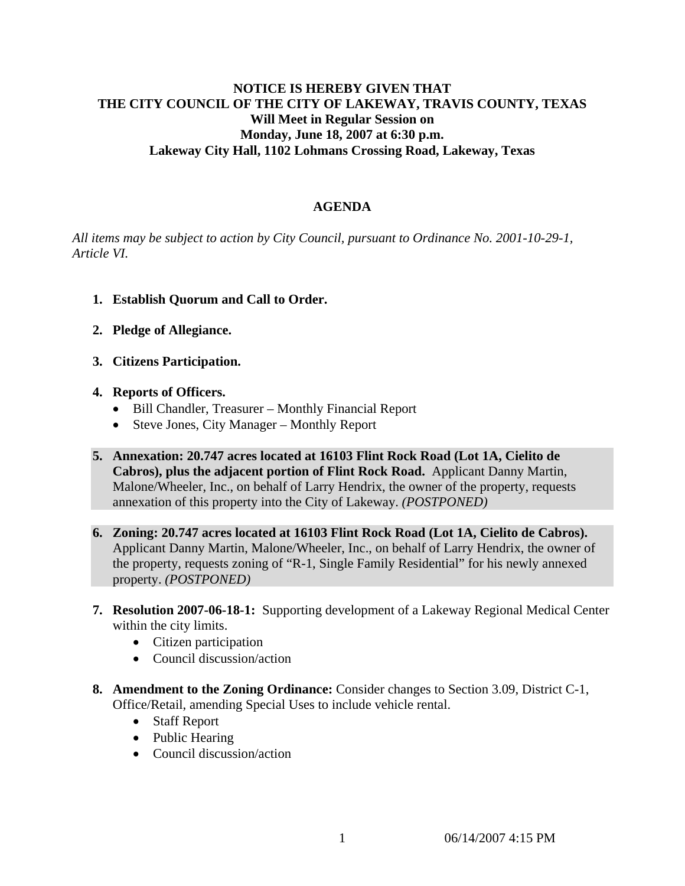# **NOTICE IS HEREBY GIVEN THAT THE CITY COUNCIL OF THE CITY OF LAKEWAY, TRAVIS COUNTY, TEXAS Will Meet in Regular Session on Monday, June 18, 2007 at 6:30 p.m. Lakeway City Hall, 1102 Lohmans Crossing Road, Lakeway, Texas**

# **AGENDA**

*All items may be subject to action by City Council, pursuant to Ordinance No. 2001-10-29-1, Article VI.* 

- **1. Establish Quorum and Call to Order.**
- **2. Pledge of Allegiance.**
- **3. Citizens Participation.**
- **4. Reports of Officers.**
	- Bill Chandler, Treasurer Monthly Financial Report
	- Steve Jones, City Manager Monthly Report
- **5. Annexation: 20.747 acres located at 16103 Flint Rock Road (Lot 1A, Cielito de Cabros), plus the adjacent portion of Flint Rock Road.** Applicant Danny Martin, Malone/Wheeler, Inc., on behalf of Larry Hendrix, the owner of the property, requests annexation of this property into the City of Lakeway. *(POSTPONED)*
- **6. Zoning: 20.747 acres located at 16103 Flint Rock Road (Lot 1A, Cielito de Cabros).**  Applicant Danny Martin, Malone/Wheeler, Inc., on behalf of Larry Hendrix, the owner of the property, requests zoning of "R-1, Single Family Residential" for his newly annexed property. *(POSTPONED)*
- **7. Resolution 2007-06-18-1:** Supporting development of a Lakeway Regional Medical Center within the city limits.
	- Citizen participation
	- Council discussion/action
- **8. Amendment to the Zoning Ordinance:** Consider changes to Section 3.09, District C-1, Office/Retail, amending Special Uses to include vehicle rental.
	- Staff Report
	- Public Hearing
	- Council discussion/action